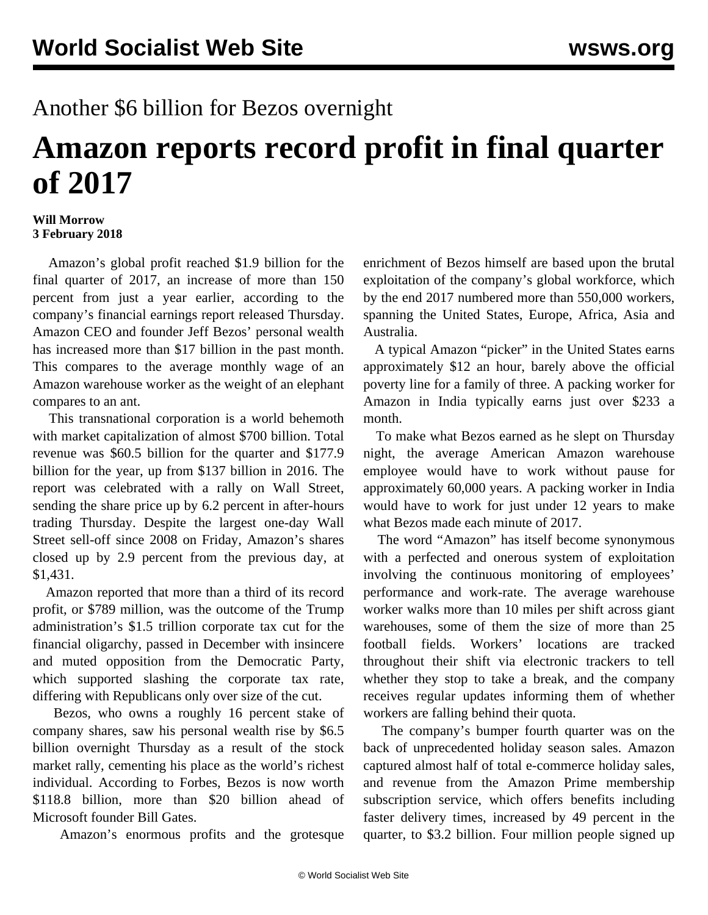## Another \$6 billion for Bezos overnight

## **Amazon reports record profit in final quarter of 2017**

## **Will Morrow 3 February 2018**

 Amazon's global profit reached \$1.9 billion for the final quarter of 2017, an increase of more than 150 percent from just a year earlier, according to the company's financial earnings report released Thursday. Amazon CEO and founder Jeff Bezos' personal wealth has increased more than \$17 billion in the past month. This compares to the average monthly wage of an Amazon warehouse worker as the weight of an elephant compares to an ant.

 This transnational corporation is a world behemoth with market capitalization of almost \$700 billion. Total revenue was \$60.5 billion for the quarter and \$177.9 billion for the year, up from \$137 billion in 2016. The report was celebrated with a rally on Wall Street, sending the share price up by 6.2 percent in after-hours trading Thursday. Despite the largest one-day Wall Street sell-off since 2008 on Friday, Amazon's shares closed up by 2.9 percent from the previous day, at \$1,431.

 Amazon reported that more than a third of its record profit, or \$789 million, was the outcome of the Trump administration's \$1.5 trillion corporate tax cut for the financial oligarchy, passed in December with insincere and muted opposition from the Democratic Party, which supported slashing the corporate tax rate, differing with Republicans only over size of the cut.

 Bezos, who owns a roughly 16 percent stake of company shares, saw his personal wealth rise by \$6.5 billion overnight Thursday as a result of the stock market rally, cementing his place as the world's richest individual. According to Forbes, Bezos is now worth \$118.8 billion, more than \$20 billion ahead of Microsoft founder Bill Gates.

Amazon's enormous profits and the grotesque

enrichment of Bezos himself are based upon the brutal exploitation of the company's global workforce, which by the end 2017 numbered more than 550,000 workers, spanning the United States, Europe, Africa, Asia and Australia.

 A typical Amazon "picker" in the United States earns approximately \$12 an hour, barely above the official poverty line for a family of three. A packing worker for Amazon in India typically earns just over \$233 a month.

 To make what Bezos earned as he slept on Thursday night, the average American Amazon warehouse employee would have to work without pause for approximately 60,000 years. A packing worker in India would have to work for just under 12 years to make what Bezos made each minute of 2017.

 The word "Amazon" has itself become synonymous with a perfected and onerous system of exploitation involving the continuous monitoring of employees' performance and work-rate. The average warehouse worker walks more than 10 miles per shift across giant warehouses, some of them the size of more than 25 football fields. Workers' locations are tracked throughout their shift via electronic trackers to tell whether they stop to take a break, and the company receives regular updates informing them of whether workers are falling behind their quota.

 The company's bumper fourth quarter was on the back of unprecedented holiday season sales. Amazon captured almost half of total e-commerce holiday sales, and revenue from the Amazon Prime membership subscription service, which offers benefits including faster delivery times, increased by 49 percent in the quarter, to \$3.2 billion. Four million people signed up